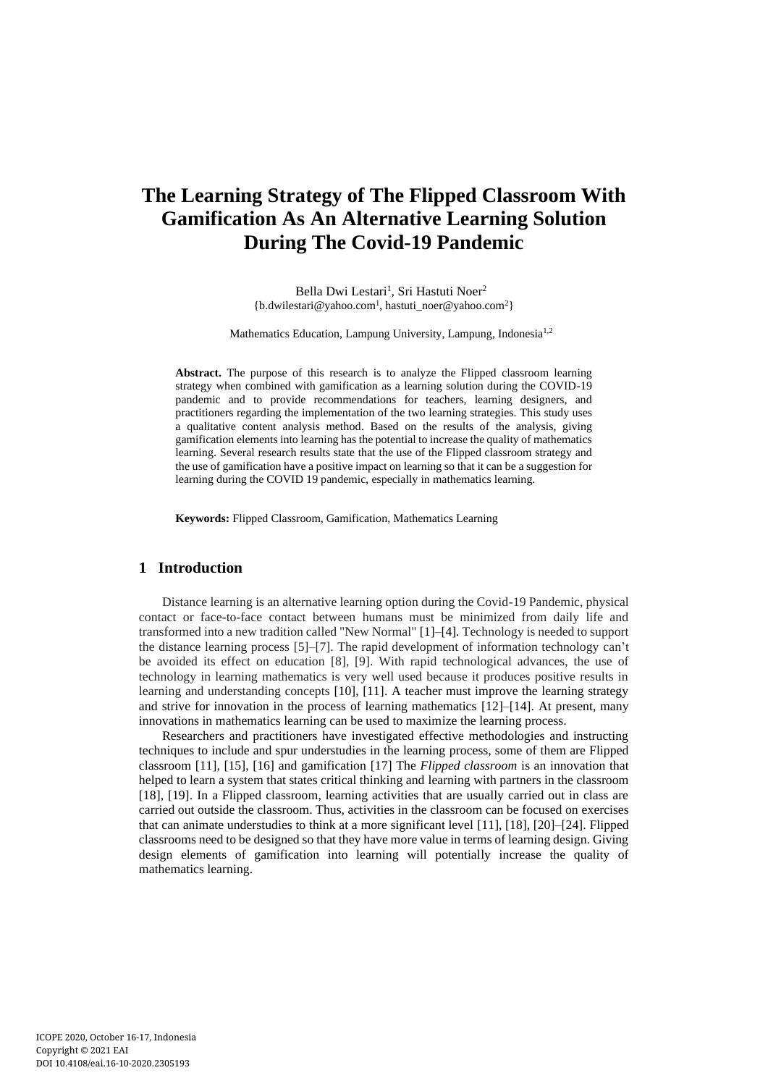# **The Learning Strategy of The Flipped Classroom With Gamification As An Alternative Learning Solution During The Covid-19 Pandemic**

Bella Dwi Lestari<sup>1</sup>, Sri Hastuti Noer<sup>2</sup> {b.dwilestari@yahoo.com<sup>1</sup> , hastuti\_noer@yahoo.com<sup>2</sup>}

Mathematics Education, Lampung University, Lampung, Indonesia<sup>1,2</sup>

**Abstract.** The purpose of this research is to analyze the Flipped classroom learning strategy when combined with gamification as a learning solution during the COVID-19 pandemic and to provide recommendations for teachers, learning designers, and practitioners regarding the implementation of the two learning strategies. This study uses a qualitative content analysis method. Based on the results of the analysis, giving gamification elements into learning has the potential to increase the quality of mathematics learning. Several research results state that the use of the Flipped classroom strategy and the use of gamification have a positive impact on learning so that it can be a suggestion for learning during the COVID 19 pandemic, especially in mathematics learning.

**Keywords:** Flipped Classroom, Gamification, Mathematics Learning

# **1 Introduction**

Distance learning is an alternative learning option during the Covid-19 Pandemic, physical contact or face-to-face contact between humans must be minimized from daily life and transformed into a new tradition called "New Normal" [1]–[4]*.* Technology is needed to support the distance learning process [5]–[7]. The rapid development of information technology can't be avoided its effect on education [8], [9]. With rapid technological advances, the use of technology in learning mathematics is very well used because it produces positive results in learning and understanding concepts [10], [11]. A teacher must improve the learning strategy and strive for innovation in the process of learning mathematics  $[12]$ –[14]. At present, many innovations in mathematics learning can be used to maximize the learning process.

Researchers and practitioners have investigated effective methodologies and instructing techniques to include and spur understudies in the learning process, some of them are Flipped classroom [11], [15], [16] and gamification [17] The *Flipped classroom* is an innovation that helped to learn a system that states critical thinking and learning with partners in the classroom [18], [19]. In a Flipped classroom, learning activities that are usually carried out in class are carried out outside the classroom. Thus, activities in the classroom can be focused on exercises that can animate understudies to think at a more significant level [11], [18], [20]–[24]. Flipped classrooms need to be designed so that they have more value in terms of learning design. Giving design elements of gamification into learning will potentially increase the quality of mathematics learning.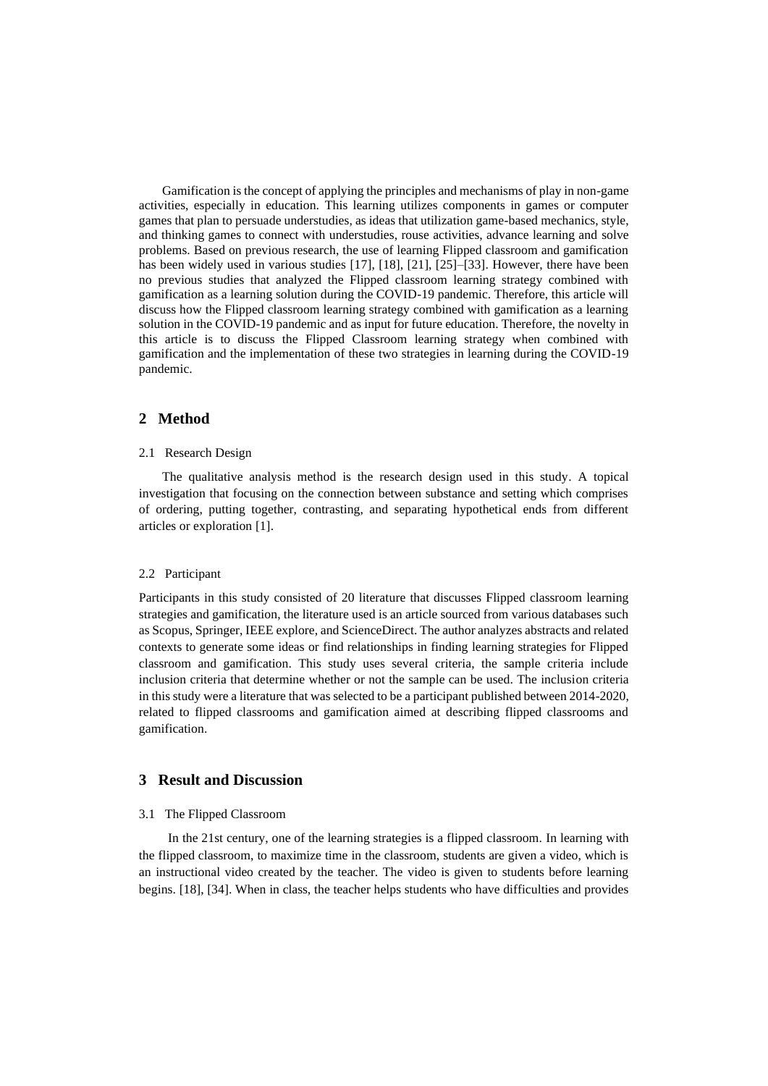Gamification is the concept of applying the principles and mechanisms of play in non-game activities, especially in education*.* This learning utilizes components in games or computer games that plan to persuade understudies, as ideas that utilization game-based mechanics, style, and thinking games to connect with understudies, rouse activities, advance learning and solve problems. Based on previous research, the use of learning Flipped classroom and gamification has been widely used in various studies [17], [18], [21], [25]–[33]. However, there have been no previous studies that analyzed the Flipped classroom learning strategy combined with gamification as a learning solution during the COVID-19 pandemic. Therefore, this article will discuss how the Flipped classroom learning strategy combined with gamification as a learning solution in the COVID-19 pandemic and as input for future education. Therefore, the novelty in this article is to discuss the Flipped Classroom learning strategy when combined with gamification and the implementation of these two strategies in learning during the COVID-19 pandemic.

# **2 Method**

#### 2.1 Research Design

The qualitative analysis method is the research design used in this study. A topical investigation that focusing on the connection between substance and setting which comprises of ordering, putting together, contrasting, and separating hypothetical ends from different articles or exploration [1].

#### 2.2 Participant

Participants in this study consisted of 20 literature that discusses Flipped classroom learning strategies and gamification, the literature used is an article sourced from various databases such as Scopus, Springer, IEEE explore, and ScienceDirect. The author analyzes abstracts and related contexts to generate some ideas or find relationships in finding learning strategies for Flipped classroom and gamification. This study uses several criteria, the sample criteria include inclusion criteria that determine whether or not the sample can be used. The inclusion criteria in this study were a literature that was selected to be a participant published between 2014-2020, related to flipped classrooms and gamification aimed at describing flipped classrooms and gamification.

### **3 Result and Discussion**

#### 3.1 The Flipped Classroom

In the 21st century, one of the learning strategies is a flipped classroom. In learning with the flipped classroom, to maximize time in the classroom, students are given a video, which is an instructional video created by the teacher. The video is given to students before learning begins. [18], [34]. When in class, the teacher helps students who have difficulties and provides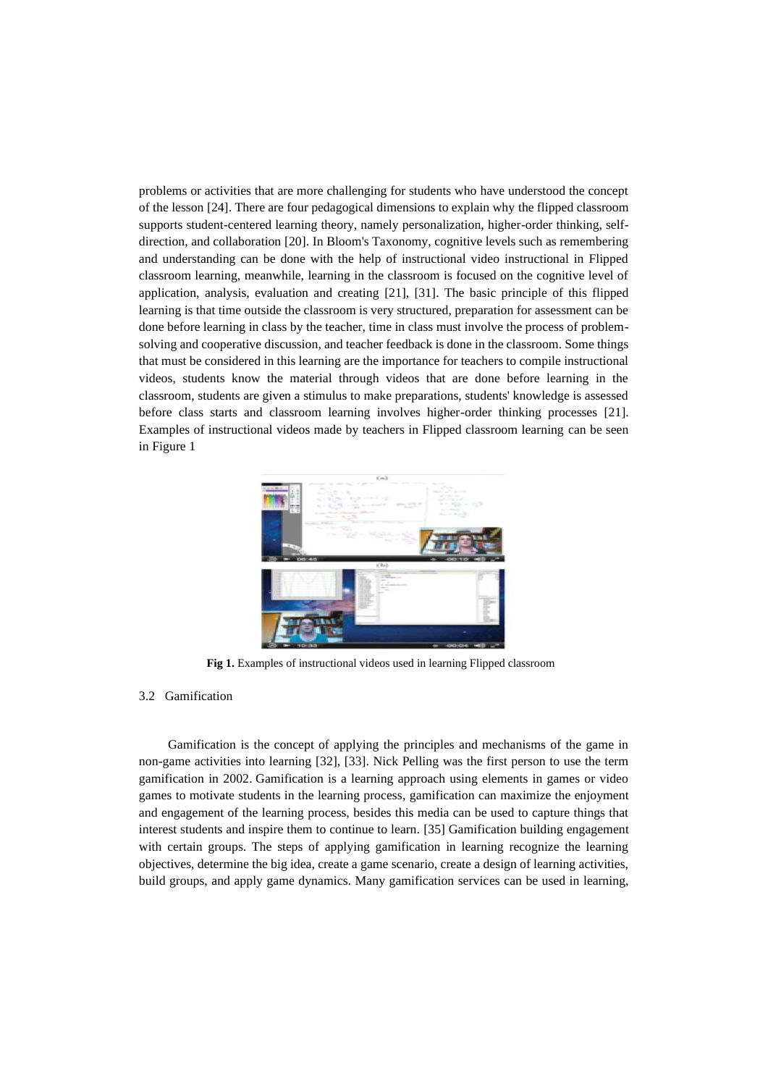problems or activities that are more challenging for students who have understood the concept of the lesson [24]. There are four pedagogical dimensions to explain why the flipped classroom supports student-centered learning theory, namely personalization, higher-order thinking, selfdirection, and collaboration [20]. In Bloom's Taxonomy, cognitive levels such as remembering and understanding can be done with the help of instructional video instructional in Flipped classroom learning, meanwhile, learning in the classroom is focused on the cognitive level of application, analysis, evaluation and creating [21], [31]. The basic principle of this flipped learning is that time outside the classroom is very structured, preparation for assessment can be done before learning in class by the teacher, time in class must involve the process of problemsolving and cooperative discussion, and teacher feedback is done in the classroom. Some things that must be considered in this learning are the importance for teachers to compile instructional videos, students know the material through videos that are done before learning in the classroom, students are given a stimulus to make preparations, students' knowledge is assessed before class starts and classroom learning involves higher-order thinking processes [21]. Examples of instructional videos made by teachers in Flipped classroom learning can be seen in Figure 1



**Fig 1.** Examples of instructional videos used in learning Flipped classroom

#### 3.2 Gamification

Gamification is the concept of applying the principles and mechanisms of the game in non-game activities into learning [32], [33]. Nick Pelling was the first person to use the term gamification in 2002. Gamification is a learning approach using elements in games or video games to motivate students in the learning process, gamification can maximize the enjoyment and engagement of the learning process, besides this media can be used to capture things that interest students and inspire them to continue to learn. [35] Gamification building engagement with certain groups. The steps of applying gamification in learning recognize the learning objectives, determine the big idea, create a game scenario, create a design of learning activities, build groups, and apply game dynamics. Many gamification services can be used in learning,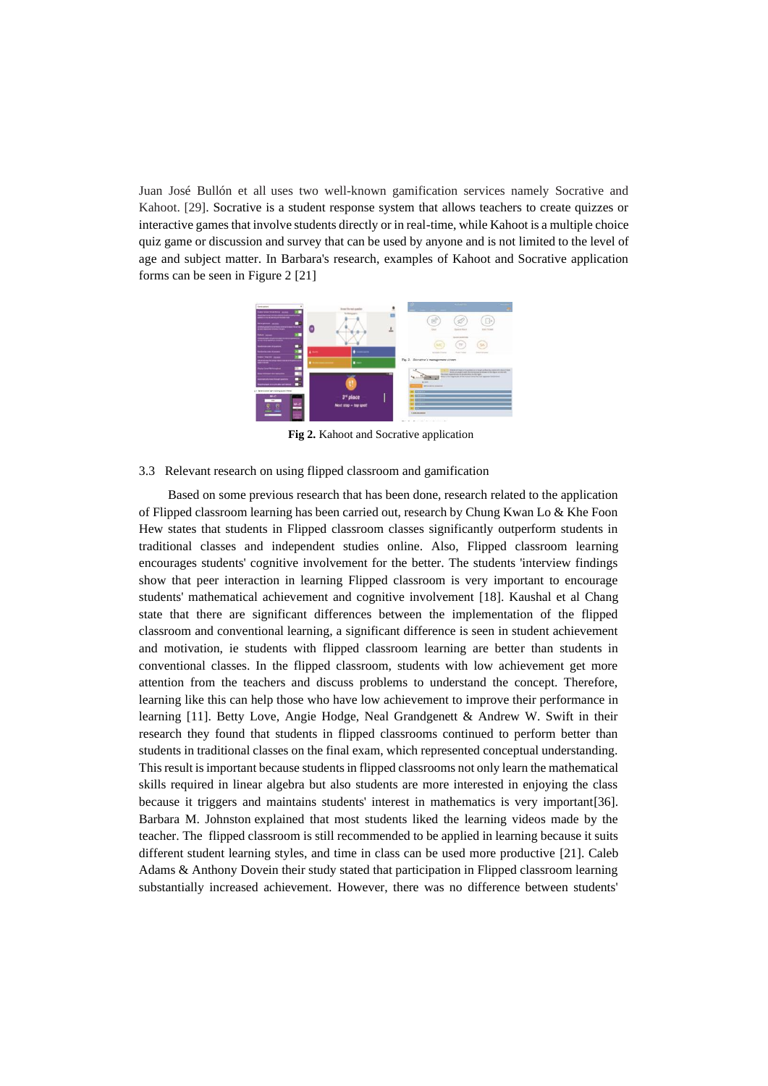Juan José Bullón et all uses two well-known gamification services namely Socrative and Kahoot. [29]. Socrative is a student response system that allows teachers to create quizzes or interactive games that involve students directly or in real-time, while Kahoot is a multiple choice quiz game or discussion and survey that can be used by anyone and is not limited to the level of age and subject matter. In Barbara's research, examples of Kahoot and Socrative application forms can be seen in Figure 2 [21]



**Fig 2.** Kahoot and Socrative application

### 3.3 Relevant research on using flipped classroom and gamification

Based on some previous research that has been done, research related to the application of Flipped classroom learning has been carried out, research by Chung Kwan Lo & Khe Foon Hew states that students in Flipped classroom classes significantly outperform students in traditional classes and independent studies online. Also, Flipped classroom learning encourages students' cognitive involvement for the better. The students 'interview findings show that peer interaction in learning Flipped classroom is very important to encourage students' mathematical achievement and cognitive involvement [18]. Kaushal et al Chang state that there are significant differences between the implementation of the flipped classroom and conventional learning, a significant difference is seen in student achievement and motivation, ie students with flipped classroom learning are better than students in conventional classes. In the flipped classroom, students with low achievement get more attention from the teachers and discuss problems to understand the concept. Therefore, learning like this can help those who have low achievement to improve their performance in learning [11]. Betty Love, Angie Hodge, Neal Grandgenett & Andrew W. Swift in their research they found that students in flipped classrooms continued to perform better than students in traditional classes on the final exam, which represented conceptual understanding. This result is important because students in flipped classrooms not only learn the mathematical skills required in linear algebra but also students are more interested in enjoying the class because it triggers and maintains students' interest in mathematics is very important[36]. Barbara M. Johnston explained that most students liked the learning videos made by the teacher. The flipped classroom is still recommended to be applied in learning because it suits different student learning styles, and time in class can be used more productive [21]. Caleb Adams & Anthony Dovein their study stated that participation in Flipped classroom learning substantially increased achievement. However, there was no difference between students'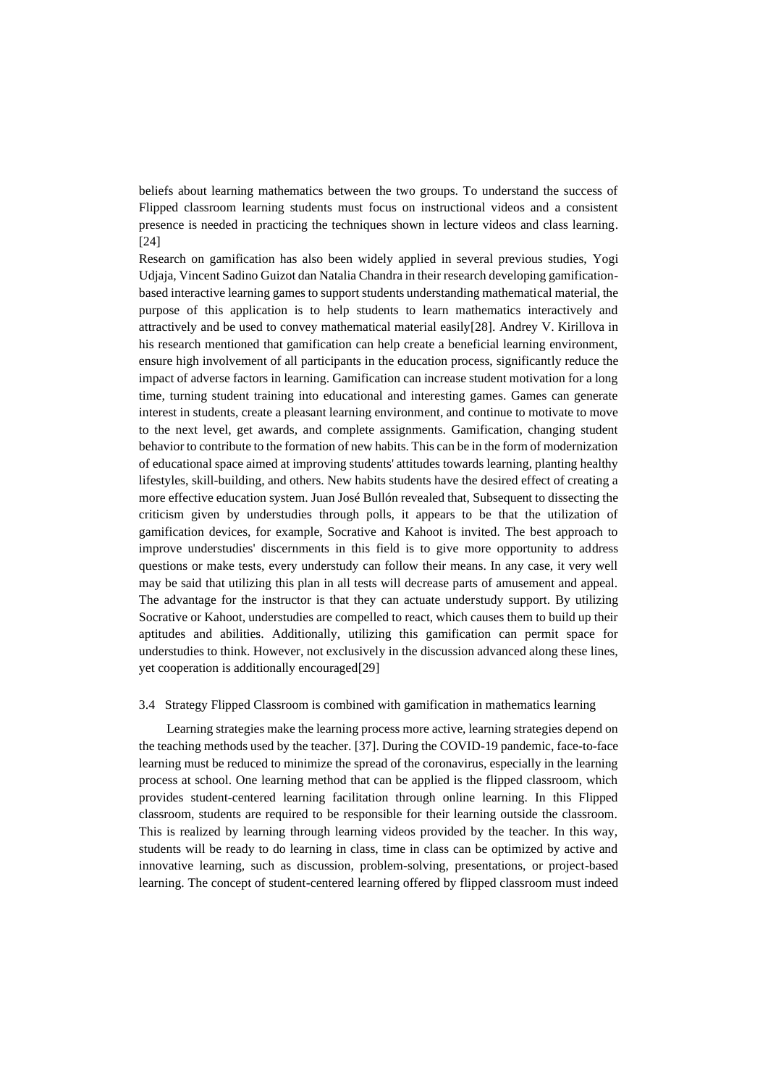beliefs about learning mathematics between the two groups. To understand the success of Flipped classroom learning students must focus on instructional videos and a consistent presence is needed in practicing the techniques shown in lecture videos and class learning. [24]

Research on gamification has also been widely applied in several previous studies, Yogi Udjaja, Vincent Sadino Guizot dan Natalia Chandra in their research developing gamificationbased interactive learning games to support students understanding mathematical material, the purpose of this application is to help students to learn mathematics interactively and attractively and be used to convey mathematical material easily[28]. Andrey V. Kirillova in his research mentioned that gamification can help create a beneficial learning environment, ensure high involvement of all participants in the education process, significantly reduce the impact of adverse factors in learning. Gamification can increase student motivation for a long time, turning student training into educational and interesting games. Games can generate interest in students, create a pleasant learning environment, and continue to motivate to move to the next level, get awards, and complete assignments. Gamification, changing student behavior to contribute to the formation of new habits. This can be in the form of modernization of educational space aimed at improving students' attitudes towards learning, planting healthy lifestyles, skill-building, and others. New habits students have the desired effect of creating a more effective education system. Juan José Bullón revealed that, Subsequent to dissecting the criticism given by understudies through polls, it appears to be that the utilization of gamification devices, for example, Socrative and Kahoot is invited. The best approach to improve understudies' discernments in this field is to give more opportunity to address questions or make tests, every understudy can follow their means. In any case, it very well may be said that utilizing this plan in all tests will decrease parts of amusement and appeal. The advantage for the instructor is that they can actuate understudy support. By utilizing Socrative or Kahoot, understudies are compelled to react, which causes them to build up their aptitudes and abilities. Additionally, utilizing this gamification can permit space for understudies to think. However, not exclusively in the discussion advanced along these lines, yet cooperation is additionally encouraged[29]

#### 3.4 Strategy Flipped Classroom is combined with gamification in mathematics learning

Learning strategies make the learning process more active, learning strategies depend on the teaching methods used by the teacher. [37]. During the COVID-19 pandemic, face-to-face learning must be reduced to minimize the spread of the coronavirus, especially in the learning process at school. One learning method that can be applied is the flipped classroom, which provides student-centered learning facilitation through online learning. In this Flipped classroom, students are required to be responsible for their learning outside the classroom. This is realized by learning through learning videos provided by the teacher. In this way, students will be ready to do learning in class, time in class can be optimized by active and innovative learning, such as discussion, problem-solving, presentations, or project-based learning. The concept of student-centered learning offered by flipped classroom must indeed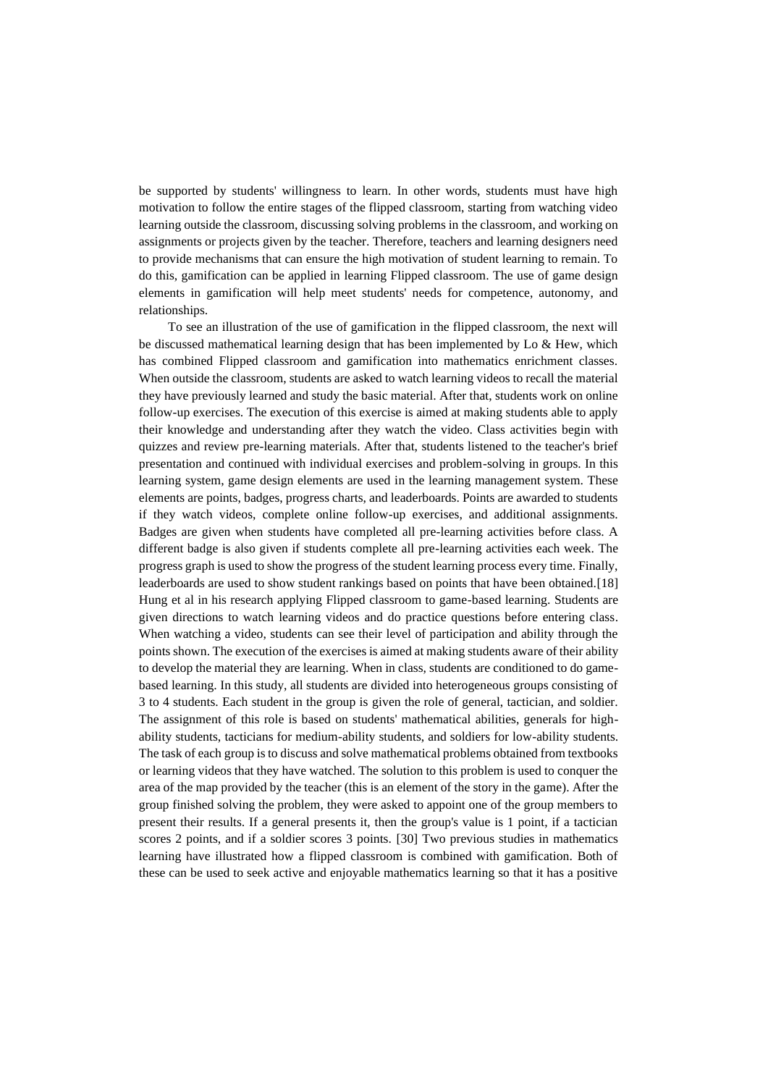be supported by students' willingness to learn. In other words, students must have high motivation to follow the entire stages of the flipped classroom, starting from watching video learning outside the classroom, discussing solving problems in the classroom, and working on assignments or projects given by the teacher. Therefore, teachers and learning designers need to provide mechanisms that can ensure the high motivation of student learning to remain. To do this, gamification can be applied in learning Flipped classroom. The use of game design elements in gamification will help meet students' needs for competence, autonomy, and relationships.

To see an illustration of the use of gamification in the flipped classroom, the next will be discussed mathematical learning design that has been implemented by Lo & Hew, which has combined Flipped classroom and gamification into mathematics enrichment classes. When outside the classroom, students are asked to watch learning videos to recall the material they have previously learned and study the basic material. After that, students work on online follow-up exercises. The execution of this exercise is aimed at making students able to apply their knowledge and understanding after they watch the video. Class activities begin with quizzes and review pre-learning materials. After that, students listened to the teacher's brief presentation and continued with individual exercises and problem-solving in groups. In this learning system, game design elements are used in the learning management system. These elements are points, badges, progress charts, and leaderboards. Points are awarded to students if they watch videos, complete online follow-up exercises, and additional assignments. Badges are given when students have completed all pre-learning activities before class. A different badge is also given if students complete all pre-learning activities each week. The progress graph is used to show the progress of the student learning process every time. Finally, leaderboards are used to show student rankings based on points that have been obtained.[18] Hung et al in his research applying Flipped classroom to game-based learning. Students are given directions to watch learning videos and do practice questions before entering class. When watching a video, students can see their level of participation and ability through the points shown. The execution of the exercises is aimed at making students aware of their ability to develop the material they are learning. When in class, students are conditioned to do gamebased learning. In this study, all students are divided into heterogeneous groups consisting of 3 to 4 students. Each student in the group is given the role of general, tactician, and soldier. The assignment of this role is based on students' mathematical abilities, generals for highability students, tacticians for medium-ability students, and soldiers for low-ability students. The task of each group is to discuss and solve mathematical problems obtained from textbooks or learning videos that they have watched. The solution to this problem is used to conquer the area of the map provided by the teacher (this is an element of the story in the game). After the group finished solving the problem, they were asked to appoint one of the group members to present their results. If a general presents it, then the group's value is 1 point, if a tactician scores 2 points, and if a soldier scores 3 points. [30] Two previous studies in mathematics learning have illustrated how a flipped classroom is combined with gamification. Both of these can be used to seek active and enjoyable mathematics learning so that it has a positive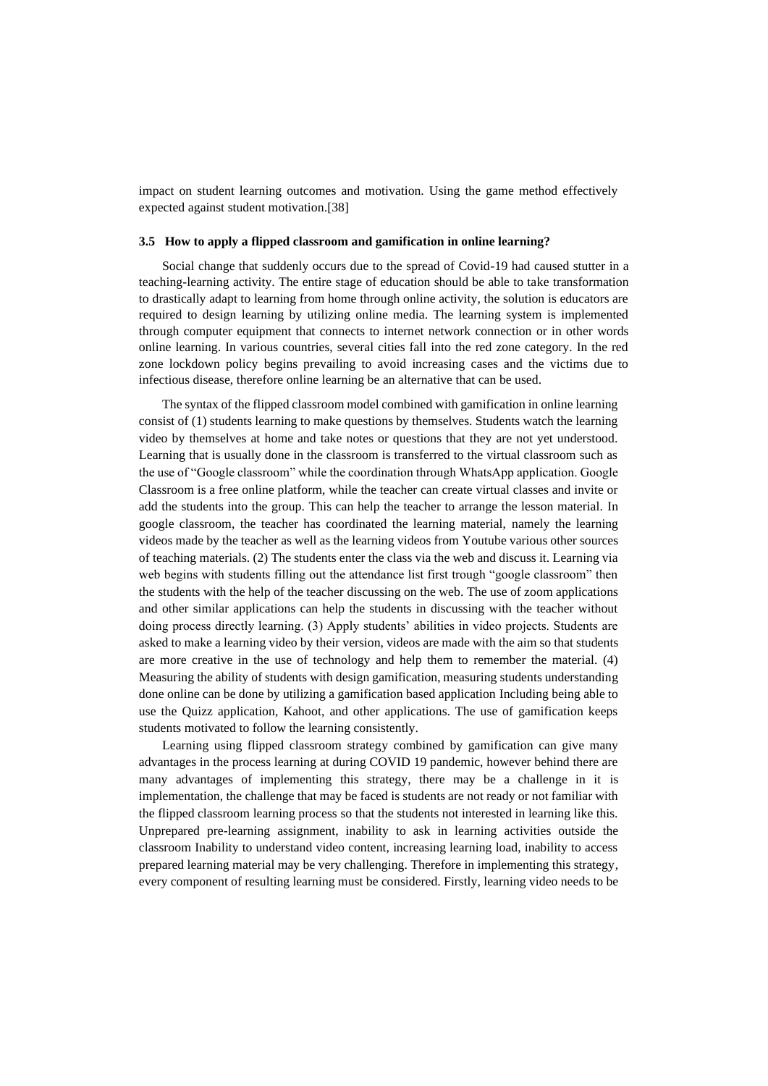impact on student learning outcomes and motivation. Using the game method effectively expected against student motivation.[38]

#### **3.5 How to apply a flipped classroom and gamification in online learning?**

Social change that suddenly occurs due to the spread of Covid-19 had caused stutter in a teaching-learning activity. The entire stage of education should be able to take transformation to drastically adapt to learning from home through online activity, the solution is educators are required to design learning by utilizing online media. The learning system is implemented through computer equipment that connects to internet network connection or in other words online learning. In various countries, several cities fall into the red zone category. In the red zone lockdown policy begins prevailing to avoid increasing cases and the victims due to infectious disease, therefore online learning be an alternative that can be used.

The syntax of the flipped classroom model combined with gamification in online learning consist of (1) students learning to make questions by themselves. Students watch the learning video by themselves at home and take notes or questions that they are not yet understood. Learning that is usually done in the classroom is transferred to the virtual classroom such as the use of "Google classroom" while the coordination through WhatsApp application. Google Classroom is a free online platform, while the teacher can create virtual classes and invite or add the students into the group. This can help the teacher to arrange the lesson material. In google classroom, the teacher has coordinated the learning material, namely the learning videos made by the teacher as well as the learning videos from Youtube various other sources of teaching materials. (2) The students enter the class via the web and discuss it. Learning via web begins with students filling out the attendance list first trough "google classroom" then the students with the help of the teacher discussing on the web. The use of zoom applications and other similar applications can help the students in discussing with the teacher without doing process directly learning. (3) Apply students' abilities in video projects. Students are asked to make a learning video by their version, videos are made with the aim so that students are more creative in the use of technology and help them to remember the material. (4) Measuring the ability of students with design gamification, measuring students understanding done online can be done by utilizing a gamification based application Including being able to use the Quizz application, Kahoot, and other applications. The use of gamification keeps students motivated to follow the learning consistently.

Learning using flipped classroom strategy combined by gamification can give many advantages in the process learning at during COVID 19 pandemic, however behind there are many advantages of implementing this strategy, there may be a challenge in it is implementation, the challenge that may be faced is students are not ready or not familiar with the flipped classroom learning process so that the students not interested in learning like this. Unprepared pre-learning assignment, inability to ask in learning activities outside the classroom Inability to understand video content, increasing learning load, inability to access prepared learning material may be very challenging. Therefore in implementing this strategy, every component of resulting learning must be considered. Firstly, learning video needs to be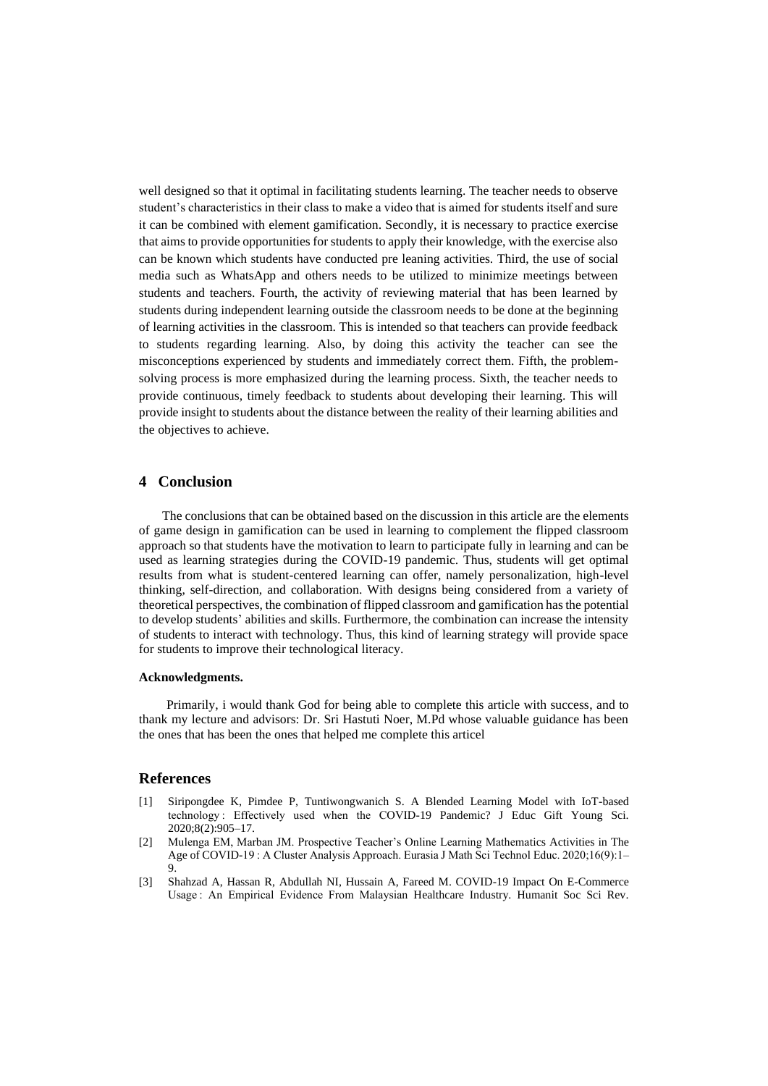well designed so that it optimal in facilitating students learning. The teacher needs to observe student's characteristics in their class to make a video that is aimed for students itself and sure it can be combined with element gamification. Secondly, it is necessary to practice exercise that aims to provide opportunities for students to apply their knowledge, with the exercise also can be known which students have conducted pre leaning activities. Third, the use of social media such as WhatsApp and others needs to be utilized to minimize meetings between students and teachers. Fourth, the activity of reviewing material that has been learned by students during independent learning outside the classroom needs to be done at the beginning of learning activities in the classroom. This is intended so that teachers can provide feedback to students regarding learning. Also, by doing this activity the teacher can see the misconceptions experienced by students and immediately correct them. Fifth, the problemsolving process is more emphasized during the learning process. Sixth, the teacher needs to provide continuous, timely feedback to students about developing their learning. This will provide insight to students about the distance between the reality of their learning abilities and the objectives to achieve.

# **4 Conclusion**

The conclusions that can be obtained based on the discussion in this article are the elements of game design in gamification can be used in learning to complement the flipped classroom approach so that students have the motivation to learn to participate fully in learning and can be used as learning strategies during the COVID-19 pandemic. Thus, students will get optimal results from what is student-centered learning can offer, namely personalization, high-level thinking, self-direction, and collaboration. With designs being considered from a variety of theoretical perspectives, the combination of flipped classroom and gamification has the potential to develop students' abilities and skills. Furthermore, the combination can increase the intensity of students to interact with technology. Thus, this kind of learning strategy will provide space for students to improve their technological literacy.

#### **Acknowledgments.**

Primarily, i would thank God for being able to complete this article with success, and to thank my lecture and advisors: Dr. Sri Hastuti Noer, M.Pd whose valuable guidance has been the ones that has been the ones that helped me complete this articel

## **References**

- [1] Siripongdee K, Pimdee P, Tuntiwongwanich S. A Blended Learning Model with IoT-based technology : Effectively used when the COVID-19 Pandemic? J Educ Gift Young Sci. 2020;8(2):905–17.
- [2] Mulenga EM, Marban JM. Prospective Teacher's Online Learning Mathematics Activities in The Age of COVID-19 : A Cluster Analysis Approach. Eurasia J Math Sci Technol Educ. 2020;16(9):1– 9.
- [3] Shahzad A, Hassan R, Abdullah NI, Hussain A, Fareed M. COVID-19 Impact On E-Commerce Usage : An Empirical Evidence From Malaysian Healthcare Industry. Humanit Soc Sci Rev.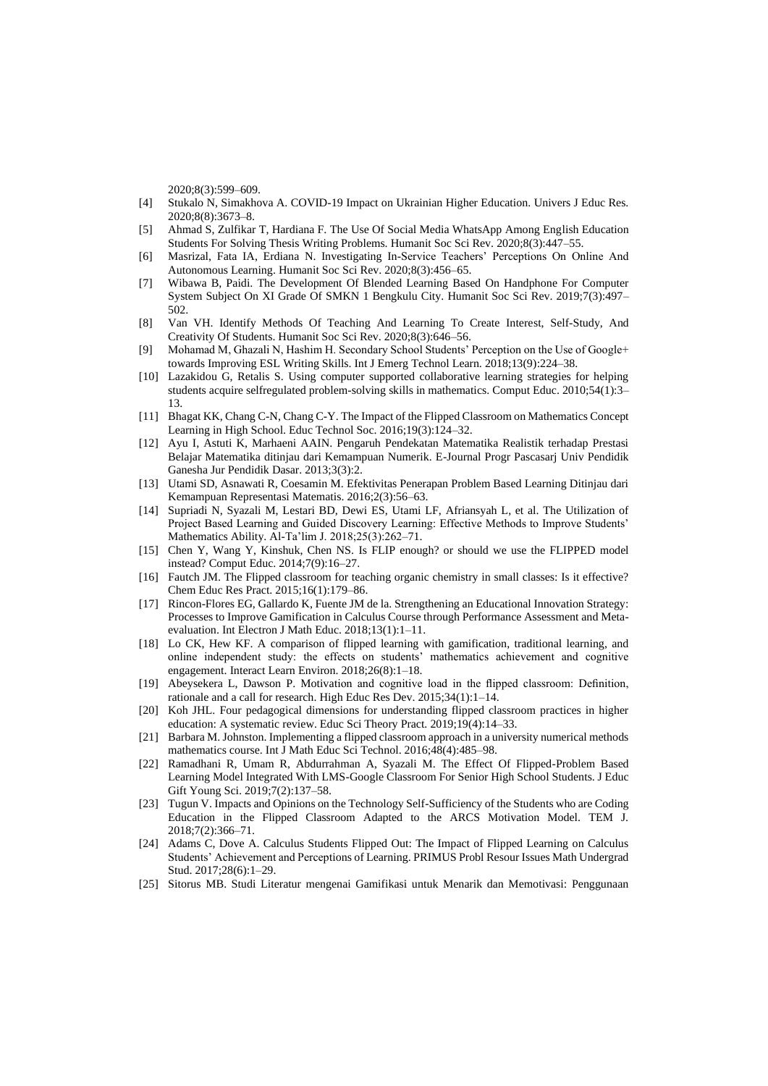2020;8(3):599–609.

- [4] Stukalo N, Simakhova A. COVID-19 Impact on Ukrainian Higher Education. Univers J Educ Res. 2020;8(8):3673–8.
- [5] Ahmad S, Zulfikar T, Hardiana F. The Use Of Social Media WhatsApp Among English Education Students For Solving Thesis Writing Problems. Humanit Soc Sci Rev. 2020;8(3):447–55.
- [6] Masrizal, Fata IA, Erdiana N. Investigating In-Service Teachers' Perceptions On Online And Autonomous Learning. Humanit Soc Sci Rev. 2020;8(3):456–65.
- [7] Wibawa B, Paidi. The Development Of Blended Learning Based On Handphone For Computer System Subject On XI Grade Of SMKN 1 Bengkulu City. Humanit Soc Sci Rev. 2019;7(3):497– 502.
- [8] Van VH. Identify Methods Of Teaching And Learning To Create Interest, Self-Study, And Creativity Of Students. Humanit Soc Sci Rev. 2020;8(3):646–56.
- [9] Mohamad M, Ghazali N, Hashim H. Secondary School Students' Perception on the Use of Google+ towards Improving ESL Writing Skills. Int J Emerg Technol Learn. 2018;13(9):224–38.
- [10] Lazakidou G, Retalis S. Using computer supported collaborative learning strategies for helping students acquire selfregulated problem-solving skills in mathematics. Comput Educ. 2010;54(1):3– 13.
- [11] Bhagat KK, Chang C-N, Chang C-Y. The Impact of the Flipped Classroom on Mathematics Concept Learning in High School. Educ Technol Soc. 2016;19(3):124–32.
- [12] Ayu I, Astuti K, Marhaeni AAIN. Pengaruh Pendekatan Matematika Realistik terhadap Prestasi Belajar Matematika ditinjau dari Kemampuan Numerik. E-Journal Progr Pascasarj Univ Pendidik Ganesha Jur Pendidik Dasar. 2013;3(3):2.
- [13] Utami SD, Asnawati R, Coesamin M. Efektivitas Penerapan Problem Based Learning Ditinjau dari Kemampuan Representasi Matematis. 2016;2(3):56–63.
- [14] Supriadi N, Syazali M, Lestari BD, Dewi ES, Utami LF, Afriansyah L, et al. The Utilization of Project Based Learning and Guided Discovery Learning: Effective Methods to Improve Students' Mathematics Ability. Al-Ta'lim J. 2018;25(3):262–71.
- [15] Chen Y, Wang Y, Kinshuk, Chen NS. Is FLIP enough? or should we use the FLIPPED model instead? Comput Educ. 2014;7(9):16–27.
- [16] Fautch JM. The Flipped classroom for teaching organic chemistry in small classes: Is it effective? Chem Educ Res Pract. 2015;16(1):179–86.
- [17] Rincon-Flores EG, Gallardo K, Fuente JM de la. Strengthening an Educational Innovation Strategy: Processes to Improve Gamification in Calculus Course through Performance Assessment and Metaevaluation. Int Electron J Math Educ. 2018;13(1):1–11.
- [18] Lo CK, Hew KF. A comparison of flipped learning with gamification, traditional learning, and online independent study: the effects on students' mathematics achievement and cognitive engagement. Interact Learn Environ. 2018;26(8):1–18.
- [19] Abeysekera L, Dawson P. Motivation and cognitive load in the flipped classroom: Definition, rationale and a call for research. High Educ Res Dev. 2015;34(1):1–14.
- [20] Koh JHL. Four pedagogical dimensions for understanding flipped classroom practices in higher education: A systematic review. Educ Sci Theory Pract. 2019;19(4):14–33.
- [21] Barbara M. Johnston. Implementing a flipped classroom approach in a university numerical methods mathematics course. Int J Math Educ Sci Technol. 2016;48(4):485–98.
- [22] Ramadhani R, Umam R, Abdurrahman A, Syazali M. The Effect Of Flipped-Problem Based Learning Model Integrated With LMS-Google Classroom For Senior High School Students. J Educ Gift Young Sci. 2019;7(2):137–58.
- [23] Tugun V. Impacts and Opinions on the Technology Self-Sufficiency of the Students who are Coding Education in the Flipped Classroom Adapted to the ARCS Motivation Model. TEM J. 2018;7(2):366–71.
- [24] Adams C, Dove A. Calculus Students Flipped Out: The Impact of Flipped Learning on Calculus Students' Achievement and Perceptions of Learning. PRIMUS Probl Resour Issues Math Undergrad Stud. 2017;28(6):1–29.
- [25] Sitorus MB. Studi Literatur mengenai Gamifikasi untuk Menarik dan Memotivasi: Penggunaan